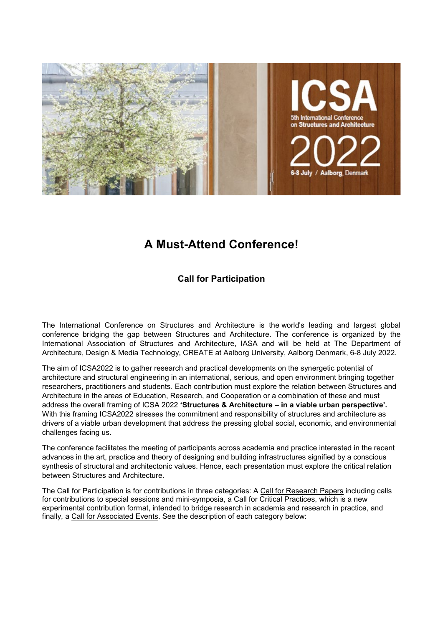

# **A Must-Attend Conference!**

## **Call for Participation**

The International Conference on Structures and Architecture is the world's leading and largest global conference bridging the gap between Structures and Architecture. The conference is organized by the International Association of Structures and Architecture, IASA and will be held at The Department of Architecture, Design & Media Technology, CREATE at Aalborg University, Aalborg Denmark, 6-8 July 2022.

The aim of ICSA2022 is to gather research and practical developments on the synergetic potential of architecture and structural engineering in an international, serious, and open environment bringing together researchers, practitioners and students. Each contribution must explore the relation between Structures and Architecture in the areas of Education, Research, and Cooperation or a combination of these and must address the overall framing of ICSA 2022 **'Structures & Architecture – in a viable urban perspective'.** With this framing ICSA2022 stresses the commitment and responsibility of structures and architecture as drivers of a viable urban development that address the pressing global social, economic, and environmental challenges facing us.

The conference facilitates the meeting of participants across academia and practice interested in the recent advances in the art, practice and theory of designing and building infrastructures signified by a conscious synthesis of structural and architectonic values. Hence, each presentation must explore the critical relation between Structures and Architecture.

The Call for Participation is for contributions in three categories: A Call for Research Papers including calls for contributions to special sessions and mini-symposia, a Call for Critical Practices, which is a new experimental contribution format, intended to bridge research in academia and research in practice, and finally, a Call for Associated Events. See the description of each category below: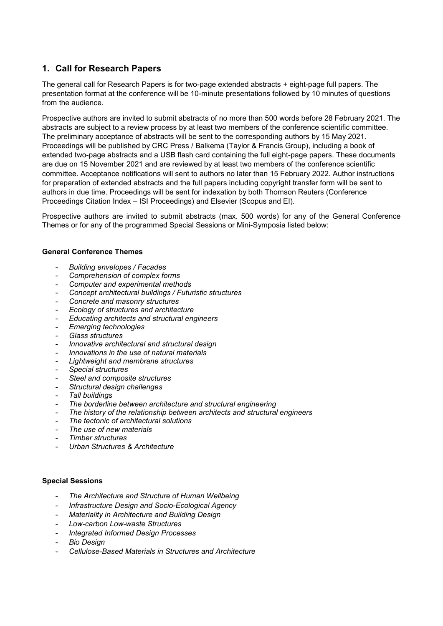## **1. Call for Research Papers**

The general call for Research Papers is for two-page extended abstracts + eight-page full papers. The presentation format at the conference will be 10-minute presentations followed by 10 minutes of questions from the audience.

Prospective authors are invited to submit abstracts of no more than 500 words before 28 February 2021. The abstracts are subject to a review process by at least two members of the conference scientific committee. The preliminary acceptance of abstracts will be sent to the corresponding authors by 15 May 2021. Proceedings will be published by CRC Press / Balkema (Taylor & Francis Group), including a book of extended two-page abstracts and a USB flash card containing the full eight-page papers. These documents are due on 15 November 2021 and are reviewed by at least two members of the conference scientific committee. Acceptance notifications will sent to authors no later than 15 February 2022. Author instructions for preparation of extended abstracts and the full papers including copyright transfer form will be sent to authors in due time. Proceedings will be sent for indexation by both Thomson Reuters (Conference Proceedings Citation Index – ISI Proceedings) and Elsevier (Scopus and EI).

Prospective authors are invited to submit abstracts (max. 500 words) for any of the General Conference Themes or for any of the programmed Special Sessions or Mini-Symposia listed below:

### **General Conference Themes**

- *Building envelopes / Facades*
- *Comprehension of complex forms*
- *Computer and experimental methods*
- *Concept architectural buildings / Futuristic structures*
- *Concrete and masonry structures*
- *Ecology of structures and architecture*
- *Educating architects and structural engineers*
- *Emerging technologies*
- *Glass structures*
- *Innovative architectural and structural design*
- *Innovations in the use of natural materials*
- *Lightweight and membrane structures*
- *Special structures*
- *Steel and composite structures*
- *Structural design challenges*
- *Tall buildings*
- *The borderline between architecture and structural engineering*
- *The history of the relationship between architects and structural engineers*
- *The tectonic of architectural solutions*
- *The use of new materials*
- *Timber structures*
- *Urban Structures & Architecture*

#### **Special Sessions**

- *The Architecture and Structure of Human Wellbeing*
- *Infrastructure Design and Socio-Ecological Agency*
- *Materiality in Architecture and Building Design*
- *Low-carbon Low-waste Structures*
- *Integrated Informed Design Processes*
- *Bio Design*
- *Cellulose-Based Materials in Structures and Architecture*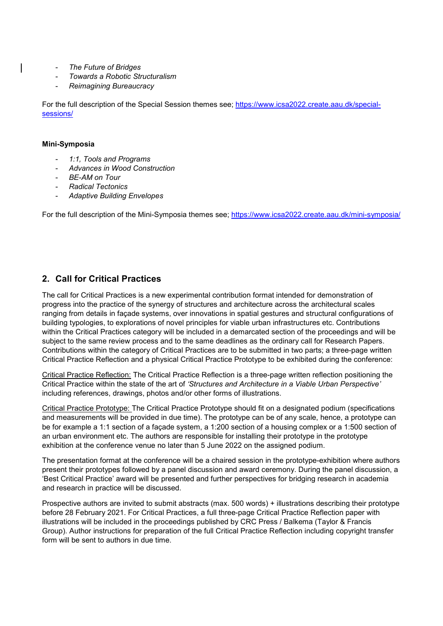- *The Future of Bridges*
- *Towards a Robotic Structuralism*
- *Reimagining Bureaucracy*

For the full description of the Special Session themes see; [https://www.icsa2022.create.aau.dk/special](https://www.icsa2022.create.aau.dk/special-sessions/)[sessions/](https://www.icsa2022.create.aau.dk/special-sessions/)

#### **Mini-Symposia**

- *1:1, Tools and Programs*
- *Advances in Wood Construction*
- *BE-AM on Tour*
- *Radical Tectonics*
- *Adaptive Building Envelopes*

For the full description of the Mini-Symposia themes see;<https://www.icsa2022.create.aau.dk/mini-symposia/>

### **2. Call for Critical Practices**

The call for Critical Practices is a new experimental contribution format intended for demonstration of progress into the practice of the synergy of structures and architecture across the architectural scales ranging from details in façade systems, over innovations in spatial gestures and structural configurations of building typologies, to explorations of novel principles for viable urban infrastructures etc. Contributions within the Critical Practices category will be included in a demarcated section of the proceedings and will be subject to the same review process and to the same deadlines as the ordinary call for Research Papers. Contributions within the category of Critical Practices are to be submitted in two parts; a three-page written Critical Practice Reflection and a physical Critical Practice Prototype to be exhibited during the conference:

Critical Practice Reflection: The Critical Practice Reflection is a three-page written reflection positioning the Critical Practice within the state of the art of *'Structures and Architecture in a Viable Urban Perspective'* including references, drawings, photos and/or other forms of illustrations.

Critical Practice Prototype: The Critical Practice Prototype should fit on a designated podium (specifications and measurements will be provided in due time). The prototype can be of any scale, hence, a prototype can be for example a 1:1 section of a façade system, a 1:200 section of a housing complex or a 1:500 section of an urban environment etc. The authors are responsible for installing their prototype in the prototype exhibition at the conference venue no later than 5 June 2022 on the assigned podium.

The presentation format at the conference will be a chaired session in the prototype-exhibition where authors present their prototypes followed by a panel discussion and award ceremony. During the panel discussion, a 'Best Critical Practice' award will be presented and further perspectives for bridging research in academia and research in practice will be discussed.

Prospective authors are invited to submit abstracts (max. 500 words) + illustrations describing their prototype before 28 February 2021. For Critical Practices, a full three-page Critical Practice Reflection paper with illustrations will be included in the proceedings published by CRC Press / Balkema (Taylor & Francis Group). Author instructions for preparation of the full Critical Practice Reflection including copyright transfer form will be sent to authors in due time.